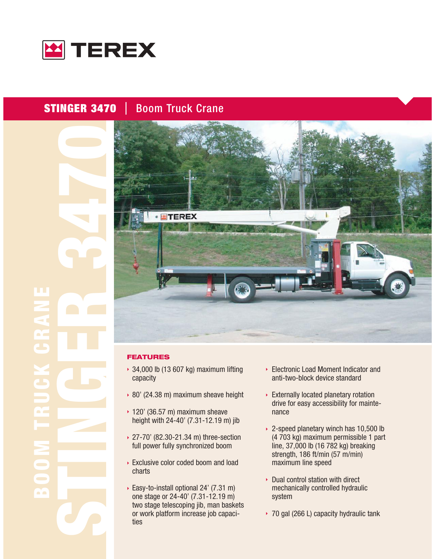

#### **STINGER 3470 Boom Truck Crane**

≃` ۵Ò ≃`≏



#### **FEATURES**

- $\rightarrow$  34,000 lb (13 607 kg) maximum lifting capacity
- ▶ 80' (24.38 m) maximum sheave height
- $\rightarrow$  120' (36.57 m) maximum sheave height with 24-40' (7.31-12.19 m) jib
- ▶ 27-70' (82.30-21.34 m) three-section full power fully synchronized boom
- Exclusive color coded boom and load charts
- ▶ Easy-to-install optional 24' (7.31 m) one stage or 24-40' (7.31-12.19 m) two stage telescoping jib, man baskets or work platform increase job capacities
- ▶ Electronic Load Moment Indicator and anti-two-block device standard
- Externally located planetary rotation drive for easy accessibility for maintenance
- ▶ 2-speed planetary winch has 10,500 lb (4 703 kg) maximum permissible 1 part line, 37,000 lb (16 782 kg) breaking strength, 186 ft/min (57 m/min) maximum line speed
- ▶ Dual control station with direct mechanically controlled hydraulic system
- ▸ 70 gal (266 L) capacity hydraulic tank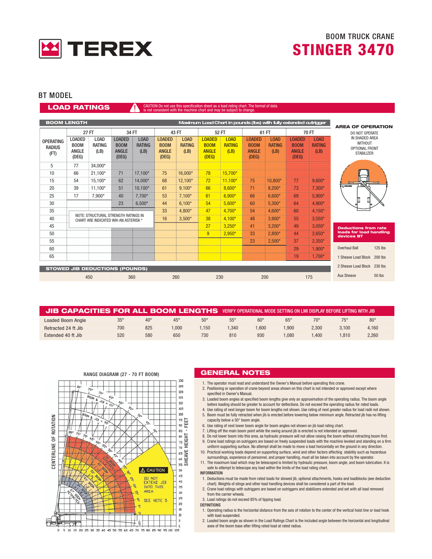

#### **BT MODEL**

#### art. The format of data **LOAD RATINGS**

|                                           | <b>BOOM LENGTH</b><br>Maximum Load Chart in pounds (Ibs) with fully extended outrigger |                                                                               |                                                       |                               |                                                       |                                      |                                                       |                                      |                                                       | <b>AREA OF OPERATION</b>             |                                                       |                                      |                                                                         |           |
|-------------------------------------------|----------------------------------------------------------------------------------------|-------------------------------------------------------------------------------|-------------------------------------------------------|-------------------------------|-------------------------------------------------------|--------------------------------------|-------------------------------------------------------|--------------------------------------|-------------------------------------------------------|--------------------------------------|-------------------------------------------------------|--------------------------------------|-------------------------------------------------------------------------|-----------|
|                                           |                                                                                        | <b>27 FT</b>                                                                  |                                                       | 34 FT                         |                                                       | 43 FT                                |                                                       | 52 FT                                |                                                       | 61 FT                                |                                                       | <b>70 FT</b>                         | DO NOT OPERATE                                                          |           |
| <b>OPERATING</b><br><b>RADIUS</b><br>(FT) | <b>LOADED</b><br>B <sub>0</sub> <sub>M</sub><br>ANGLE<br>(DEG)                         | <b>LOAD</b><br>RATING<br>(LB)                                                 | <b>LOADED</b><br><b>BOOM</b><br><b>ANGLE</b><br>(DEG) | LOAD<br><b>RATING</b><br>(LB) | <b>LOADED</b><br><b>BOOM</b><br><b>ANGLE</b><br>(DEG) | <b>LOAD</b><br><b>RATING</b><br>(LB) | <b>LOADED</b><br><b>BOOM</b><br><b>ANGLE</b><br>(DEG) | <b>LOAD</b><br><b>RATING</b><br>(LB) | <b>LOADED</b><br><b>BOOM</b><br><b>ANGLE</b><br>(DEG) | <b>LOAD</b><br><b>RATING</b><br>(LB) | <b>LOADED</b><br><b>BOOM</b><br><b>ANGLE</b><br>(DEG) | <b>LOAD</b><br><b>RATING</b><br>(LB) | IN SHADED AREA<br><b>WITHOUT</b><br>OPTIONAL FRONT<br><b>STABILIZER</b> |           |
| 5                                         | 77                                                                                     | 34,000*                                                                       |                                                       |                               |                                                       |                                      |                                                       |                                      |                                                       |                                      |                                                       |                                      |                                                                         |           |
| 10                                        | 66                                                                                     | $21,100*$                                                                     | 71                                                    | 17,100*                       | 75                                                    | 16,000*                              | 78                                                    | 15,700*                              |                                                       |                                      |                                                       |                                      |                                                                         |           |
| 15                                        | 54                                                                                     | 15,100*                                                                       | 62                                                    | 14.000*                       | 68                                                    | 12.100*                              | 72                                                    | $11.100*$                            | 75                                                    | 10.800*                              | 77                                                    | $9.600*$                             |                                                                         |           |
| 20                                        | 39                                                                                     | 11.100*                                                                       | 51                                                    | $10.100*$                     | 61                                                    | $9.100*$                             | 66                                                    | $8.600*$                             | 71                                                    | $8.200*$                             | 73                                                    | $7,300*$                             | <b>C ROTATION</b>                                                       |           |
| 25                                        | 17                                                                                     | 7.900*                                                                        | 40                                                    | $7.700*$                      | 53                                                    | $7,100*$                             | 61                                                    | $6.900*$                             | 66                                                    | $6.600*$                             | 69                                                    | $5,900*$                             |                                                                         |           |
| 30                                        |                                                                                        |                                                                               | 23                                                    | $6.500*$                      | 44                                                    | $6.100*$                             | 54                                                    | $5,600*$                             | 60                                                    | $5,300*$                             | 64                                                    | $4.900*$                             | ⊞                                                                       |           |
| 35                                        |                                                                                        |                                                                               |                                                       |                               | 33                                                    | 4,800*                               | 47                                                    | $4.700*$                             | 54                                                    | $4.600*$                             | 60                                                    | $4.150*$                             |                                                                         |           |
| 40                                        |                                                                                        | NOTE: STRUCTURAL STRENGTH RATINGS IN<br>CHART ARE INDICATED WIH AN ASTERISK * |                                                       |                               | 16                                                    | $3,500*$                             | 38                                                    | $4.100*$                             | 48                                                    | $3,900*$                             | 55                                                    | $3,550*$                             |                                                                         |           |
| 45                                        |                                                                                        |                                                                               |                                                       |                               |                                                       |                                      | 27                                                    | $3,250*$                             | 41                                                    | $3,200*$                             | 49                                                    | $3,050*$                             | <b>Deductions from rate</b>                                             |           |
| 50                                        |                                                                                        |                                                                               |                                                       |                               |                                                       |                                      | 9                                                     | $2,950*$                             | 33                                                    | $2,800*$                             | 44                                                    | $2,650*$                             | loads for load handling<br>devices BT                                   |           |
| 55                                        |                                                                                        |                                                                               |                                                       |                               |                                                       |                                      |                                                       |                                      | 23                                                    | $2,500*$                             | 37                                                    | $2,350*$                             |                                                                         |           |
| 60                                        |                                                                                        |                                                                               |                                                       |                               |                                                       |                                      |                                                       |                                      |                                                       |                                      | 29                                                    | $1,900*$                             | <b>Overhaul Ball</b>                                                    | $125$ lbs |
| 65                                        |                                                                                        |                                                                               |                                                       |                               |                                                       |                                      |                                                       |                                      |                                                       |                                      | 19                                                    | $1.700*$                             | 1 Sheave Load Block 200 lbs                                             |           |
|                                           |                                                                                        | <b>STOWED JIB DEDUCTIONS (POUNDS)</b>                                         |                                                       |                               |                                                       |                                      |                                                       |                                      |                                                       |                                      |                                                       |                                      | 2 Sheave Load Block 230 lbs                                             |           |
|                                           |                                                                                        | 450                                                                           |                                                       | 360                           |                                                       | 260                                  |                                                       | 230                                  |                                                       | 200                                  |                                                       | 175                                  | <b>Aux Sheave</b>                                                       | 50 lbs    |

| JIB CAPACITIES FOR ALL BOOM LENGTHS VERIFY OPERATIONAL MODE SETTING ON LMI DISPLAY BEFORE LIFTING WITH JIB |            |              |            |            |            |            |            |              |            |            |
|------------------------------------------------------------------------------------------------------------|------------|--------------|------------|------------|------------|------------|------------|--------------|------------|------------|
| Loaded Boom Angle                                                                                          | $35^\circ$ | $40^{\circ}$ | $45^\circ$ | $50^\circ$ | $55^\circ$ | $60^\circ$ | $65^\circ$ | $70^{\circ}$ | $75^\circ$ | $80^\circ$ |
| Retracted 24 ft Jib                                                                                        | 700        | 825          | .000       | .150       | 1.340      | $000*$     | 1,900      | 2.300        | 3.100      | 4.160      |
| Extended 40 ft Jib                                                                                         | 520        | 580          | 650        | 730        | 810        | 930        | $080^{+}$  | .400         | 1.810      | 2,260      |



#### **GENERAL NOTES**

- 1. The operator must read and understand the Owner's Manual before operating this crane.
- 2. Positioning or operation of crane beyond areas shown on this chart is not intended or approved except where specified in Owner's Manual.
- 3. Loaded boom angles at specified boom lengths give only an approximation of the operating radius. The boom angle before loading should be greater to account for deflections. Do not exceed the operating radius for rated loads.
- 4. Use rating of next longer boom for boom lengths not shown. Use rating of next greater radius for load radii not shown. 5. Boom must be fully retracted when jib is erected before lowering below minimum angle. Retracted jib has no lifting
- capacity below a 50° boom angle.
- 6. Use rating of next lower boom angle for boom angles not shown on jib load rating chart.
- 7. Lifting off the main boom point while the swing around jib is erected is not intended or approved.
- 8. Do not lower boom into this area, as hydraulic pressure will not allow raising the boom without retracting boom first. 9. Crane load ratings on outriggers are based on freely suspended loads with the machine leveled and standing on a firm
- uniform supporting surface. No attempt shall be made to move a load horizontally on the ground in any direction. 10. Practical working loads depend on supporting surface, wind and other factors affecting stability such as hazardous
- surroundings, experience of personnel, and proper handling, must all be taken into account by the operator. 11. The maximum load which may be telescoped is limited by hydraulic pressure, boom angle, and boom lubrication. It is safe to attempt to telescope any load within the limits of the load rating chart.

#### **INFORMATION**

- 1. Deductions must be made from rated loads for stowed jib, optional attachments, hooks and loadblocks (see deduction chart). Weights of slings and other load handling devices shall be considered a part of the load.
- 2. Crane load ratings with outriggers are based on outriggers and stabilizers extended and set with all load removed from the carrier wheels.
- 3. Load ratings do not exceed 85% of tipping load. **DEFINITIONS**
- 
- 1. Operating radius is the horizontal distance from the axis of rotation to the center of the vertical hoist line or load hook with load suspended.
- 2. Loaded boom angle as shown in the Load Ratings Chart is the included angle between the horizontal and longitudinal axes of the boom base after lifting rated load at rated radius.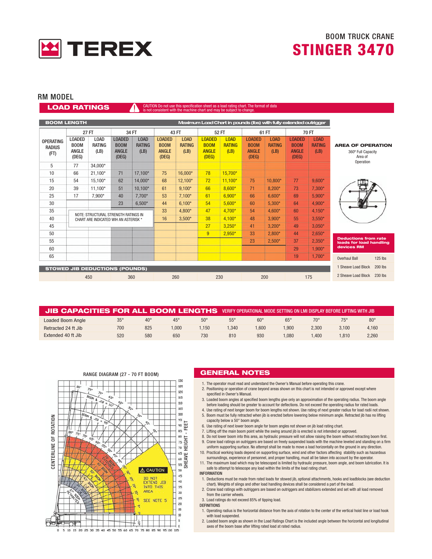

#### **RM MODEL**

**LOAD RATINGS** 

## art. The format of data

|                                           | <b>BOOM LENGTH</b><br>Maximum Load Chart in pounds (Ibs) with fully extended outrigger |                                       |                                                       |                               |                                                       |                                      |                                                       |                                      |                                                       |                                      |                                                       |                                      |                                                                        |
|-------------------------------------------|----------------------------------------------------------------------------------------|---------------------------------------|-------------------------------------------------------|-------------------------------|-------------------------------------------------------|--------------------------------------|-------------------------------------------------------|--------------------------------------|-------------------------------------------------------|--------------------------------------|-------------------------------------------------------|--------------------------------------|------------------------------------------------------------------------|
|                                           |                                                                                        | <b>27 FT</b>                          |                                                       | 34 FT                         |                                                       | 43 FT                                |                                                       | 52 FT                                |                                                       | 61 FT                                |                                                       | <b>70 FT</b>                         |                                                                        |
| <b>OPERATING</b><br><b>RADIUS</b><br>(FT) | <b>LOADED</b><br><b>BOOM</b><br><b>ANGLE</b><br>(DEG)                                  | <b>LOAD</b><br>RATING<br>(LB)         | <b>LOADED</b><br><b>BOOM</b><br><b>ANGLE</b><br>(DEG) | LOAD<br><b>RATING</b><br>(LB) | <b>LOADED</b><br><b>BOOM</b><br><b>ANGLE</b><br>(DEG) | <b>LOAD</b><br><b>RATING</b><br>(LB) | <b>LOADED</b><br><b>BOOM</b><br><b>ANGLE</b><br>(DEG) | <b>LOAD</b><br><b>RATING</b><br>(LB) | <b>LOADED</b><br><b>BOOM</b><br><b>ANGLE</b><br>(DEG) | <b>LOAD</b><br><b>RATING</b><br>(LB) | <b>LOADED</b><br><b>BOOM</b><br><b>ANGLE</b><br>(DEG) | <b>LOAD</b><br><b>RATING</b><br>(LB) | <b>AREA OF OPERATION</b><br>360° Full Capacity<br>Area of<br>Operation |
| 5                                         | 77                                                                                     | 34,000*                               |                                                       |                               |                                                       |                                      |                                                       |                                      |                                                       |                                      |                                                       |                                      |                                                                        |
| 10                                        | 66                                                                                     | $21,100*$                             | 71                                                    | 17,100*                       | 75                                                    | 16,000*                              | 78                                                    | 15,700*                              |                                                       |                                      |                                                       |                                      |                                                                        |
| 15                                        | 54                                                                                     | 15,100*                               | 62                                                    | 14,000*                       | 68                                                    | 12,100*                              | 72                                                    | $11,100*$                            | 75                                                    | 10,800*                              | 77                                                    | $9,600*$                             |                                                                        |
| 20                                        | 39                                                                                     | $11.100*$                             | 51                                                    | $10.100*$                     | 61                                                    | $9,100*$                             | 66                                                    | $8.600*$                             | 71                                                    | $8,200*$                             | 73                                                    | $7,300*$                             |                                                                        |
| 25                                        | 17                                                                                     | 7,900*                                | 40                                                    | $7.700*$                      | 53                                                    | $7,100*$                             | 61                                                    | $6.900*$                             | 66                                                    | $6.600*$                             | 69                                                    | $5,900*$                             |                                                                        |
| 30                                        |                                                                                        |                                       | 23                                                    | $6,500*$                      | 44                                                    | $6.100*$                             | 54                                                    | $5,600*$                             | 60                                                    | $5,300*$                             | 64                                                    | 4,900*                               |                                                                        |
| 35                                        |                                                                                        | NOTE: STRUCTURAL STRENGTH RATINGS IN  |                                                       |                               | 33                                                    | 4,800*                               | 47                                                    | $4.700*$                             | 54                                                    | $4.600*$                             | 60                                                    | $4,150*$                             |                                                                        |
| 40                                        |                                                                                        | CHART ARE INDICATED WIH AN ASTERISK * |                                                       |                               | 16                                                    | $3,500*$                             | 38                                                    | $4,100*$                             | 48                                                    | $3,900*$                             | 55                                                    | $3,550*$                             |                                                                        |
| 45                                        |                                                                                        |                                       |                                                       |                               |                                                       |                                      | 27                                                    | $3,250*$                             | 41                                                    | $3,200*$                             | 49                                                    | $3,050*$                             |                                                                        |
| 50                                        |                                                                                        |                                       |                                                       |                               |                                                       |                                      | 9                                                     | $2,950*$                             | 33                                                    | $2,800*$                             | 44                                                    | $2,650*$                             |                                                                        |
| 55                                        |                                                                                        |                                       |                                                       |                               |                                                       |                                      |                                                       |                                      | 23                                                    | $2,500*$                             | 37                                                    | $2,350*$                             | <b>Deductions from rate</b><br>loads for load handling                 |
| 60                                        |                                                                                        |                                       |                                                       |                               |                                                       |                                      |                                                       |                                      |                                                       |                                      | 29                                                    | $1,900*$                             | devices RM                                                             |
| 65                                        |                                                                                        |                                       |                                                       |                               |                                                       |                                      |                                                       |                                      |                                                       |                                      | 19                                                    | $1,700*$                             | <b>Overhaul Ball</b><br>125 lbs                                        |
|                                           |                                                                                        | <b>STOWED JIB DEDUCTIONS (POUNDS)</b> |                                                       |                               |                                                       |                                      |                                                       |                                      |                                                       |                                      |                                                       |                                      | 200 lbs<br>1 Sheave Load Block                                         |
|                                           |                                                                                        | 450                                   |                                                       | 360                           |                                                       | 260                                  |                                                       | 230                                  |                                                       | 200                                  |                                                       | 175                                  | 230 lbs<br>2 Sheave Load Block                                         |

| JIB CAPACITIES FOR ALL BOOM LENGTHS |                 |                 |            |            |              | . VERIFY OPERATIONAL MODE SETTING ON LMI DISPLAY BEFORE LIFTING WITH JIB ' |            |              |            |            |
|-------------------------------------|-----------------|-----------------|------------|------------|--------------|----------------------------------------------------------------------------|------------|--------------|------------|------------|
| <b>Loaded Boom Angle</b>            | 35 <sup>°</sup> | 40 <sup>°</sup> | $45^\circ$ | $50^\circ$ | $55^{\circ}$ | $60^\circ$                                                                 | $65^\circ$ | $70^{\circ}$ | $75^\circ$ | $80^\circ$ |
| Retracted 24 ft Jib                 | 700             | 825             | .000       | .150       | 1.340        | .600                                                                       | 1.900      | 2.300        | 3.100      | 4.160      |
| Extended 40 ft Jib                  | 520             | 580             | 650        | 730        | 810          | 930                                                                        | 1.080      | .400         | 1.810      | 2,260      |



#### **GENERAL NOTES**

- 1. The operator must read and understand the Owner's Manual before operating this crane.
- 2. Positioning or operation of crane beyond areas shown on this chart is not intended or approved except where specified in Owner's Manual.
- 3. Loaded boom angles at specified boom lengths give only an approximation of the operating radius. The boom angle<br>before loading should be greater to account for deflections. Do not exceed the operating radius for rated l
- 4. Use rating of next longer boom for boom lengths not shown. Use rating of next greater radius for load radii not shown. 5. Boom must be fully retracted when jib is erected before lowering below minimum angle. Retracted jib has no lifting
- capacity below a 50° boom angle
- 6. Use rating of next lower boom angle for boom angles not shown on jib load rating chart.
- 7. Lifting off the main boom point while the swing around jib is erected is not intended or approved.
- 8. Do not lower boom into this area, as hydraulic pressure will not allow raising the boom without retracting boom first. 9. Crane load ratings on outriggers are based on freely suspended loads with the machine leveled and standing on a firm
- uniform supporting surface. No attempt shall be made to move a load horizontally on the ground in any direction. 10. Practical working loads depend on supporting surface, wind and other factors affecting stability such as hazardous
- surroundings, experience of personnel, and proper handling, must all be taken into account by the operator. 11. The maximum load which may be telescoped is limited by hydraulic pressure, boom angle, and boom lubrication. It is safe to attempt to telescope any load within the limits of the load rating chart.
- **INFORMATION**
- 1. Deductions must be made from rated loads for stowed jib, optional attachments, hooks and loadblocks (see deduction chart). Weights of slings and other load handling devices shall be considered a part of the load.
- 2. Crane load ratings with outriggers are based on outriggers and stabilizers extended and set with all load removed from the carrier wheels.
- 3. Load ratings do not exceed 85% of tipping load.
- **DEFINITIONS**
- 1. Operating radius is the horizontal distance from the axis of rotation to the center of the vertical hoist line or load hook with load suspended.
- 2. Loaded boom angle as shown in the Load Ratings Chart is the included angle between the horizontal and longitudinal axes of the boom base after lifting rated load at rated radius.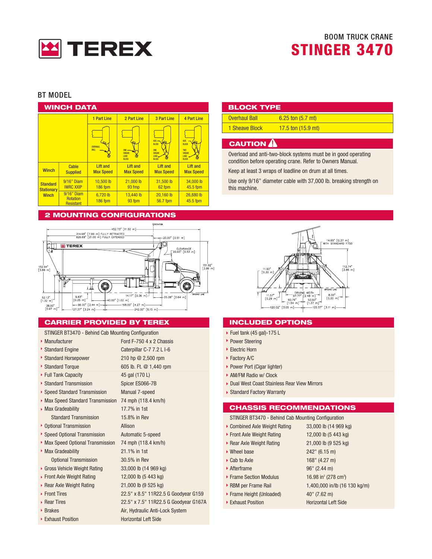

#### **BT MODEL**

| <b>WINCH DATA</b>                    |                                                   |                                     |                                              |                                                                         |                                                                             |  |  |
|--------------------------------------|---------------------------------------------------|-------------------------------------|----------------------------------------------|-------------------------------------------------------------------------|-----------------------------------------------------------------------------|--|--|
|                                      |                                                   | <b>1 Part Line</b>                  | 2 Part Line                                  | 3 Part Line                                                             | 4 Part Line                                                                 |  |  |
|                                      |                                                   | OVERHALL<br>BALL                    | <b>SHEAVE</b><br><b>10AD</b><br><b>BLOCK</b> | $AUX -$<br>BLOCK<br>ONE<br><b>SHEAVE</b><br><b>1040</b><br><b>BLOCK</b> | AUX.<br>BLOCK<br><b>TWO</b><br><b>SHEAVE</b><br><b>TOAD</b><br><b>BLOCK</b> |  |  |
| <b>Winch</b>                         | Cable<br><b>Supplied</b>                          | <b>Lift and</b><br><b>Max Speed</b> | <b>Lift and</b><br><b>Max Speed</b>          | <b>Lift and</b><br><b>Max Speed</b>                                     | <b>Lift and</b><br><b>Max Speed</b>                                         |  |  |
| <b>Standard</b><br><b>Stationary</b> | $9/16"$ Diam<br><b>IWRC XXIP</b>                  | 10,500 lb<br><b>186 fpm</b>         | 21,000 lb<br>93 fmp                          | 31,500 lb<br>62 fpm                                                     | 34,000 lb<br>45.5 fpm                                                       |  |  |
| <b>Winch</b>                         | 9/16" Diam<br><b>Rotation</b><br><b>Resistant</b> | 6,720 lb<br><b>186 fpm</b>          | 13,440 lb<br>93 fpm                          | 20,160 lb<br>56.7 fpm                                                   | 26,880 lb<br>45.5 fpm                                                       |  |  |

#### **2 MOUNTING CONFIGURATIONS**



#### **CARRIER PROVIDED BY TEREX**

#### STINGER BT3470 - Behind Cab Mounting Configuration

| • Manufacturer                  | Ford F-750 4 x 2 Chassis              |
|---------------------------------|---------------------------------------|
| Standard Engine                 | Caterpillar C-7 7.2 L I-6             |
| Standard Horsepower             | 210 hp @ 2,500 rpm                    |
| Standard Torque                 | 605 lb. Ft. @ 1,440 rpm               |
| ▶ Full Tank Capacity            | 45 gal (170 L)                        |
| ▶ Standard Transmission         | Spicer ES066-7B                       |
| ▶ Speed Standard Transmission   | Manual 7-speed                        |
| Max Speed Standard Transmission | 74 mph (118.4 km/h)                   |
| <b>Max Gradeability</b>         | 17.7% in 1st                          |
| <b>Standard Transmission</b>    | 15.8% in Rev                          |
| • Optional Transmission         | Allison                               |
| Speed Optional Transmission     | Automatic 5-speed                     |
| Max Speed Optional Transmission | 74 mph (118.4 km/h)                   |
| Max Gradeability                | 21.1% in 1st                          |
| <b>Optional Transmission</b>    | 30.5% in Rev                          |
| Gross Vehicle Weight Rating     | 33,000 lb (14 969 kg)                 |
| ▶ Front Axle Weight Rating      | 12,000 lb (5 443 kg)                  |
| Rear Axle Weight Rating         | 21,000 lb (9 525 kg)                  |
| ▶ Front Tires                   | 22.5" x 8.5" 11R22.5 G Goodyear G159  |
| ▶ Rear Tires                    | 22.5" x 7.5" 11R22.5 G Goodyear G167A |
| ▶ Brakes                        | Air, Hydraulic Anti-Lock System       |
| ▶ Exhaust Position              | <b>Horizontal Left Side</b>           |

### **BLOCK TYPE**

| <b>Overhaul Ball</b> | $6.25$ ton $(5.7$ mt)        |
|----------------------|------------------------------|
| 1 Sheave Block       | 17.5 ton $(15.9 \text{ mt})$ |

#### **CAUTION A**

Overload and anti-two-block systems must be in good operating condition before operating crane. Refer to Owners Manual.

Keep at least 3 wraps of loadline on drum at all times.

Use only 9/16" diameter cable with 37,000 lb. breaking strength on this machine.



#### **INCLUDED OPTIONS**

- ▶ Fuel tank (45 gal)-175 L
- ▶ Power Steering
- Electric Horn
- ▶ Factory A/C
- ▶ Power Port (Cigar lighter)
- AM/FM Radio w/ Clock
- Dual West Coast Stainless Rear View Mirrors
- ▶ Standard Factory Warranty

#### **CHASSIS RECOMMENDATIONS**

STINGER BT3470 - Behind Cab Mounting Configuration

| ▶ Combined Axle Weight Rating | 33,000 lb (14 969 kg)                        |
|-------------------------------|----------------------------------------------|
| ▶ Front Axle Weight Rating    | 12,000 lb (5 443 kg)                         |
| ▶ Rear Axle Weight Rating     | 21,000 lb (9 525 kg)                         |
| $\triangleright$ Wheel base   | 242" (6.15 m)                                |
| ▶ Cab to Axle                 | 168" (4.27 m)                                |
| $\triangleright$ Afterframe   | $96''$ (2.44 m)                              |
| ▶ Frame Section Modulus       | 16.98 in <sup>3</sup> (278 cm <sup>3</sup> ) |
| RBM per Frame Rail            | 1,400,000 in/lb (16 130 kg/m)                |
| ▶ Frame Height (Unloaded)     | $40''$ (7.62 m)                              |
| ▶ Exhaust Position            | <b>Horizontal Left Side</b>                  |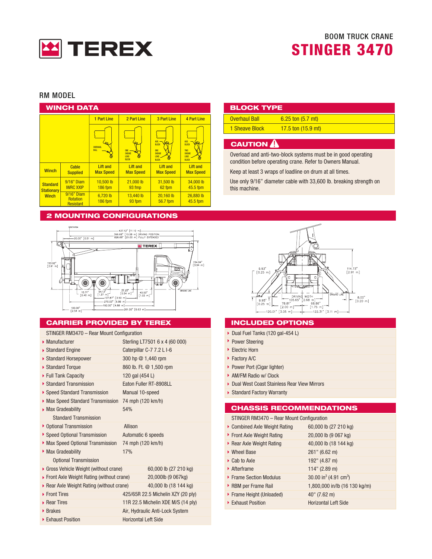

#### RM MODFI

|                                      | WINCH DATA                                        |                                     |                                                     |                                                                            |                                                                             |
|--------------------------------------|---------------------------------------------------|-------------------------------------|-----------------------------------------------------|----------------------------------------------------------------------------|-----------------------------------------------------------------------------|
|                                      |                                                   | <b>1 Part Line</b>                  | 2 Part Line                                         | 3 Part Line                                                                | <b>4 Part Line</b>                                                          |
|                                      |                                                   | OVERHALL<br><b>BALL</b>             | ONE<br><b>SHEAVE</b><br><b>TOAD</b><br><b>BLOCK</b> | <b>AUX</b><br>BLOCK<br>ONE<br><b>SHEAVE</b><br><b>TOAD</b><br><b>BLOCK</b> | ALDC<br><b>BLOCK</b><br><b>TWO</b><br><b>SHEAVE</b><br>LOAD<br><b>BLOCK</b> |
| <b>Winch</b>                         | Cable<br><b>Supplied</b>                          | <b>Lift and</b><br><b>Max Speed</b> | <b>Lift and</b><br><b>Max Speed</b>                 | <b>Lift and</b><br><b>Max Speed</b>                                        | <b>Lift and</b><br><b>Max Speed</b>                                         |
| <b>Standard</b><br><b>Stationary</b> | 9/16" Diam<br><b>IWRC XXIP</b>                    | 10,500 lb<br>186 fpm                | 21,000 lb<br>93 fmp                                 | 31,500 lb<br>62 fpm                                                        | 34,000 lb<br>45.5 fpm                                                       |
| <b>Winch</b>                         | 9/16" Diam<br><b>Rotation</b><br><b>Resistant</b> | 6,720 lb<br><b>186 fpm</b>          | 13.440 lb<br>93 fpm                                 | 20,160 lb<br>56.7 fpm                                                      | 26,880 lb<br>45.5 fpm                                                       |

#### **2 MOUNTING CONFIGURATIONS**



#### **CARRIER PROVIDED BY TEREX**

#### STINGER RM3470 - Rear Mount Configuration

| $\blacktriangleright$ Manufacturer         | Sterling LT7501 6 x 4 (60 000)     |
|--------------------------------------------|------------------------------------|
| ▶ Standard Engine                          | Caterpillar C-7 7.2 L I-6          |
| ▶ Standard Horsepower                      | 300 hp @ 1,440 rpm                 |
| Standard Torque                            | 860 lb. Ft. @ 1,500 rpm            |
| ▶ Full Tank Capacity                       | 120 gal (454 L)                    |
| ▶ Standard Transmission                    | Eaton Fuller RT-8908LL             |
| ▶ Speed Standard Transmission              | Manual 10-speed                    |
| Max Speed Standard Transmission            | 74 mph (120 km/h)                  |
| Max Gradeability                           | 54%                                |
| <b>Standard Transmission</b>               |                                    |
| ▶ Optional Transmission                    | Allison                            |
| ▶ Speed Optional Transmission              | Automatic 6 speeds                 |
| Max Speed Optional Transmission            | 74 mph (120 km/h)                  |
| Max Gradeability                           | <b>17%</b>                         |
| <b>Optional Transmission</b>               |                                    |
| Gross Vehicle Weight (without crane)       | 60,000 lb (27 210 kg)              |
| ▶ Front Axle Weight Rating (without crane) | 20,000lb (9 067kg)                 |
| ▶ Rear Axle Weight Rating (without crane)  | 40,000 lb (18 144 kg)              |
| ▶ Front Tires                              | 425/65R 22.5 Michelin XZY (20 ply) |
| ▶ Rear Tires                               | 11R 22.5 Michelin XDE M/S (14 ply) |
| ▶ Brakes                                   | Air, Hydraulic Anti-Lock System    |
| ▶ Exhaust Position                         | <b>Horizontal Left Side</b>        |

| <b>BLOCK TYPE</b>    |                              |  |  |  |  |  |
|----------------------|------------------------------|--|--|--|--|--|
| <b>Overhaul Ball</b> | $6.25$ ton $(5.7$ mt)        |  |  |  |  |  |
| 1 Sheave Block       | 17.5 ton $(15.9 \text{ mt})$ |  |  |  |  |  |
|                      |                              |  |  |  |  |  |

#### **CAUTION A**

Overload and anti-two-block systems must be in good operating condition before operating crane. Refer to Owners Manual.

Keep at least 3 wraps of loadline on drum at all times.

Use only 9/16" diameter cable with 33,600 lb. breaking strength on this machine.



### **INCLUDED OPTIONS**

- Dual Fuel Tanks (120 gal-454 L)
- ▶ Power Steering
- Electric Horn
- Factory A/C
- ▶ Power Port (Cigar lighter)
- AM/FM Radio w/ Clock
- Dual West Coast Stainless Rear View Mirrors
- Standard Factory Warranty

#### **CHASSIS RECOMMENDATIONS**

| STINGER RM3470 - Rear Mount Configuration |                                               |
|-------------------------------------------|-----------------------------------------------|
| ▶ Combined Axle Weight Rating             | 60,000 lb (27 210 kg)                         |
| ▶ Front Axle Weight Rating                | 20,000 lb (9 067 kg)                          |
| ▶ Rear Axle Weight Rating                 | 40,000 lb (18 144 kg)                         |
| ▶ Wheel Base                              | 261" (6.62 m)                                 |
| $\triangleright$ Cab to Axle              | 192" (4.87 m)                                 |
| $\triangleright$ Afterframe               | $114"$ (2.89 m)                               |
| ▶ Frame Section Modulus                   | 30.00 in <sup>3</sup> (4.91 cm <sup>3</sup> ) |
| RBM per Frame Rail                        | 1,800,000 in/lb (16 130 kg/m)                 |
| ▶ Frame Height (Unloaded)                 | $40''$ (7.62 m)                               |
| Exhaust Position                          | <b>Horizontal Left Side</b>                   |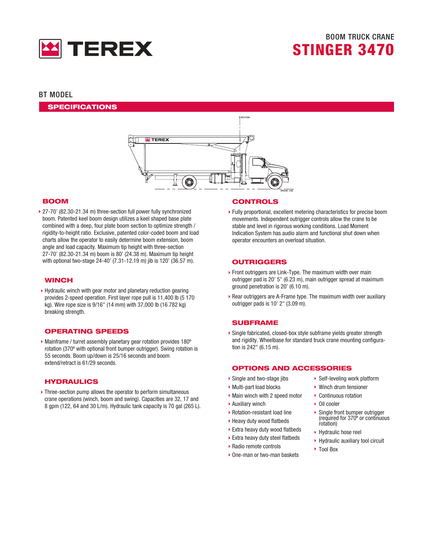

#### **BT MODEL**

**SPECIFICATIONS** 



#### **BOOM**

▶ 27-70' (82.30-21.34 m) three-section full power fully synchronized boom. Patented keel boom design utilizes a keel shaped base plate combined with a deep, four plate boom section to optimize strength / rigidity-to-height ratio. Exclusive, patented color-coded boom and load charts allow the operator to easily determine boom extension, boom angle and load capacity. Maximum tip height with three-section 27-70' (82.30-21.34 m) boom is 80' (24.38 m). Maximum tip height with optional two-stage 24-40' (7.31-12.19 m) jib is 120' (36.57 m).

#### **WINCH**

▶ Hydraulic winch with gear motor and planetary reduction gearing provides 2-speed operation. First layer rope pull is 11,400 lb (5 170 kg). Wire rope size is 9/16" (14 mm) with 37,000 lb (16 782 kg) breaking strength.

#### **OPERATING SPEEDS**

• Mainframe / turret assembly planetary gear rotation provides 180° rotation (370° with optional front bumper outrigger). Swing rotation is 55 seconds. Boom up/down is 25/16 seconds and boom extend/retract is 61/29 seconds.

#### **HYDRAULICS**

> Three-section pump allows the operator to perform simultaneous crane operations (winch, boom and swing). Capacities are 32, 17 and 8 gpm (122, 64 and 30 L/m). Hydraulic tank capacity is 70 gal (265 L).

#### **CONTROLS**

▶ Fully proportional, excellent metering characteristics for precise boom movements. Independent outrigger controls allow the crane to be stable and level in rigorous working conditions. Load Moment Indication System has audio alarm and functional shut down when operator encounters an overload situation.

#### **OUTRIGGERS**

- Front outriggers are Link-Type. The maximum width over main outrigger pad is 20' 5" (6.23 m), main outrigger spread at maximum ground penetration is 20' (6.10 m).
- Rear outriggers are A-Frame type. The maximum width over auxiliary outrigger pads is 10' 2" (3.09 m).

#### **SUBFRAME**

Single fabricated, closed-box style subframe yields greater strength and rigidity. Wheelbase for standard truck crane mounting configuration is 242" (6.15 m).

#### **OPTIONS AND ACCESSORIES**

- Single and two-stage iibs
- Multi-part load blocks
- Main winch with 2 speed motor
- ▶ Auxiliary winch
- ▶ Rotation-resistant load line
- ▶ Heavy duty wood flatbeds
- Extra heavy duty wood flatbeds
- Extra heavy duty steel flatbeds
- ▶ Radio remote controls
- ▶ One-man or two-man baskets
- ▶ Self-leveling work platform
- $\triangleright$  Winch drum tensioner
- Continuous rotation
- Oil cooler
- $\triangleright$  Single front bumper outrigger (required for 370° or continuous rotation)
- ▶ Hydraulic hose reel
- ▶ Hydraulic auxiliary tool circuit
- ▶ Tool Box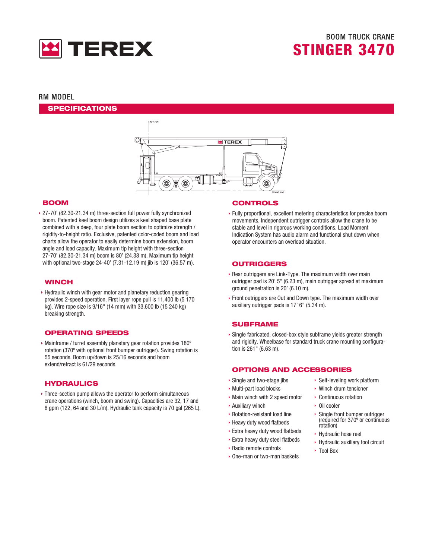

#### **RM MODEL**

**SPECIFICATIONS** 



#### **BOOM**

▶ 27-70' (82.30-21.34 m) three-section full power fully synchronized boom. Patented keel boom design utilizes a keel shaped base plate combined with a deep, four plate boom section to optimize strength / rigidity-to-height ratio. Exclusive, patented color-coded boom and load charts allow the operator to easily determine boom extension, boom angle and load capacity. Maximum tip height with three-section 27-70' (82.30-21.34 m) boom is 80' (24.38 m). Maximum tip height with optional two-stage 24-40' (7.31-12.19 m) jib is 120' (36.57 m).

#### **WINCH**

▶ Hydraulic winch with gear motor and planetary reduction gearing provides 2-speed operation. First layer rope pull is 11,400 lb (5 170 kg). Wire rope size is 9/16" (14 mm) with 33,600 lb (15 240 kg) breaking strength.

#### **OPERATING SPEEDS**

• Mainframe / turret assembly planetary gear rotation provides 180° rotation (370° with optional front bumper outrigger). Swing rotation is 55 seconds. Boom up/down is 25/16 seconds and boom extend/retract is 61/29 seconds.

#### **HYDRAULICS**

▶ Three-section pump allows the operator to perform simultaneous crane operations (winch, boom and swing). Capacities are 32, 17 and 8 gpm (122, 64 and 30 L/m). Hydraulic tank capacity is 70 gal (265 L).

#### **CONTROLS**

▶ Fully proportional, excellent metering characteristics for precise boom movements. Independent outrigger controls allow the crane to be stable and level in rigorous working conditions. Load Moment Indication System has audio alarm and functional shut down when operator encounters an overload situation.

#### **OUTRIGGERS**

- Rear outriggers are Link-Type. The maximum width over main outrigger pad is 20' 5" (6.23 m), main outrigger spread at maximum ground penetration is 20' (6.10 m).
- ▶ Front outriggers are Out and Down type. The maximum width over auxiliary outrigger pads is 17' 6" (5.34 m).

#### **SUBFRAME**

▶ Single fabricated, closed-box style subframe yields greater strength and rigidity. Wheelbase for standard truck crane mounting configuration is 261" (6.63 m).

#### **OPTIONS AND ACCESSORIES**

- Single and two-stage jibs
- Multi-part load blocks
- Main winch with 2 speed motor
- Auxiliary winch
- ▶ Rotation-resistant load line
- ▶ Heavy duty wood flatbeds
- ▶ Extra heavy duty wood flatbeds
- ▶ Extra heavy duty steel flatbeds
- ▶ Radio remote controls
- One-man or two-man baskets
- ▶ Self-leveling work platform
- ▶ Winch drum tensioner
- Continuous rotation
- $\triangleright$  Oil cooler
- Single front bumper outrigger (required for 370° or continuous rotation)
- Hydraulic hose reel
- ▶ Hydraulic auxiliary tool circuit
- ▶ Tool Box